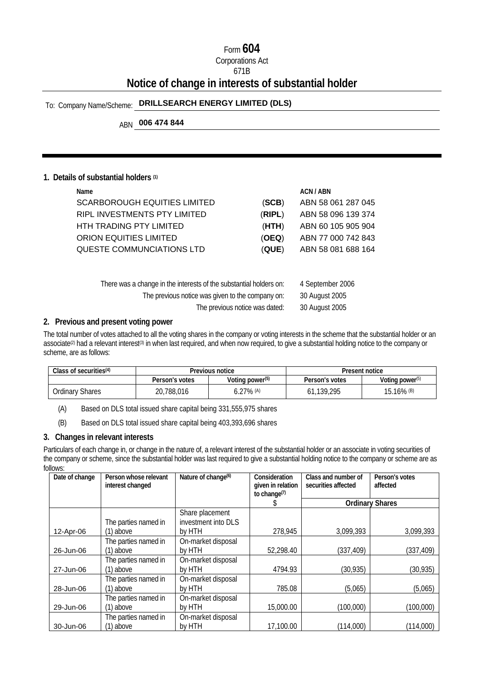## Form **604**

## Corporations Act

#### 671B

## **Notice of change in interests of substantial holder**

## To: Company Name/Scheme: **DRILLSEARCH ENERGY LIMITED (DLS)**

## ABN **006 474 844**

#### **1. Details of substantial holders (1)**

| Name.                          | ACN / ABN                    |
|--------------------------------|------------------------------|
| SCARBOROUGH EQUITIES LIMITED   | ABN 58 061 287 045<br>(SCB)  |
| RIPL INVESTMENTS PTY LIMITED   | ABN 58 096 139 374<br>(RIPL) |
| <b>HTH TRADING PTY LIMITED</b> | ABN 60 105 905 904<br>(HTH)  |
| ORION EQUITIES LIMITED         | ABN 77 000 742 843<br>(OEQ)  |
| QUESTE COMMUNCIATIONS LTD      | ABN 58 081 688 164<br>(QUE)  |
|                                |                              |

| There was a change in the interests of the substantial holders on: | 4 September 2006 |
|--------------------------------------------------------------------|------------------|
| The previous notice was given to the company on:                   | 30 August 2005   |
| The previous notice was dated:                                     | 30 August 2005   |

#### **2. Previous and present voting power**

The total number of votes attached to all the voting shares in the company or voting interests in the scheme that the substantial holder or an associate<sup>(2)</sup> had a relevant interest<sup>(3)</sup> in when last required, and when now required, to give a substantial holding notice to the company or scheme, are as follows:

| Class of securities $(4)$ | Previous notice |                             | Present notice |                             |
|---------------------------|-----------------|-----------------------------|----------------|-----------------------------|
|                           | Person's votes  | Voting power <sup>(5)</sup> | Person's votes | Voting power <sup>(5)</sup> |
| Ordinary Shares           | 20.788.016      | ).27% (A)                   | 139,295<br>δI  | $15.16\%$ (B)               |

(A) Based on DLS total issued share capital being 331,555,975 shares

(B) Based on DLS total issued share capital being 403,393,696 shares

#### **3. Changes in relevant interests**

Particulars of each change in, or change in the nature of, a relevant interest of the substantial holder or an associate in voting securities of the company or scheme, since the substantial holder was last required to give a substantial holding notice to the company or scheme are as follows:

| Date of change | Person whose relevant<br>interest changed | Nature of change <sup>(6)</sup>        | Consideration<br>given in relation<br>to change <sup>(7)</sup> | Class and number of<br>securities affected | Person's votes<br>affected |
|----------------|-------------------------------------------|----------------------------------------|----------------------------------------------------------------|--------------------------------------------|----------------------------|
|                |                                           |                                        |                                                                |                                            | <b>Ordinary Shares</b>     |
|                | The parties named in                      | Share placement<br>investment into DLS |                                                                |                                            |                            |
| 12-Apr-06      | (1) above                                 | by HTH                                 | 278,945                                                        | 3,099,393                                  | 3,099,393                  |
| 26-Jun-06      | The parties named in<br>$(1)$ above       | On-market disposal<br>by HTH           | 52,298.40                                                      | (337, 409)                                 | (337, 409)                 |
| 27-Jun-06      | The parties named in<br>$(1)$ above       | On-market disposal<br>by HTH           | 4794.93                                                        | (30, 935)                                  | (30, 935)                  |
| 28-Jun-06      | The parties named in<br>(1) above         | On-market disposal<br>by HTH           | 785.08                                                         | (5,065)                                    | (5,065)                    |
| 29-Jun-06      | The parties named in<br>(1) above         | On-market disposal<br>by HTH           | 15,000.00                                                      | (100,000)                                  | (100,000)                  |
| 30-Jun-06      | The parties named in<br>(1) above         | On-market disposal<br>by HTH           | 17,100.00                                                      | (114,000)                                  | (114,000)                  |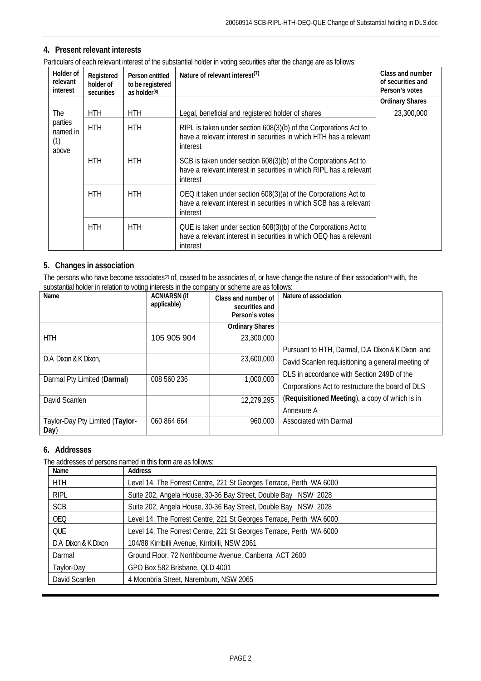### **4. Present relevant interests**

| Particulars of each relevant interest of the substantial holder in voting securities after the change are as follows: |
|-----------------------------------------------------------------------------------------------------------------------|
|-----------------------------------------------------------------------------------------------------------------------|

| Holder of<br>relevant<br>interest   | Registered<br>holder of<br>securities | Person entitled<br>to be registered<br>as holder $(8)$ | Nature of relevant interest <sup>(7)</sup>                                                                                                         | Class and number<br>of securities and<br>Person's votes |
|-------------------------------------|---------------------------------------|--------------------------------------------------------|----------------------------------------------------------------------------------------------------------------------------------------------------|---------------------------------------------------------|
|                                     |                                       |                                                        |                                                                                                                                                    | <b>Ordinary Shares</b>                                  |
| <b>The</b>                          | <b>HTH</b>                            | <b>HTH</b>                                             | Legal, beneficial and registered holder of shares                                                                                                  | 23,300,000                                              |
| parties<br>named in<br>(1)<br>above | <b>HTH</b>                            | <b>HTH</b>                                             | RIPL is taken under section 608(3)(b) of the Corporations Act to<br>have a relevant interest in securities in which HTH has a relevant<br>interest |                                                         |
|                                     | <b>HTH</b>                            | HTH                                                    | SCB is taken under section 608(3)(b) of the Corporations Act to<br>have a relevant interest in securities in which RIPL has a relevant<br>interest |                                                         |
|                                     | <b>HTH</b>                            | <b>HTH</b>                                             | OEQ it taken under section 608(3)(a) of the Corporations Act to<br>have a relevant interest in securities in which SCB has a relevant<br>interest  |                                                         |
|                                     | <b>HTH</b>                            | <b>HTH</b>                                             | QUE is taken under section 608(3)(b) of the Corporations Act to<br>have a relevant interest in securities in which OEQ has a relevant<br>interest  |                                                         |

### **5. Changes in association**

The persons who have become associates<sup>(2)</sup> of, ceased to be associates of, or have change the nature of their association<sup>(9)</sup> with, the substantial holder in relation to voting interests in the company or scheme are as follows:

| Name                                    | <b>ACN/ARSN (if</b><br>applicable) | Class and number of<br>securities and<br>Person's votes | Nature of association                             |
|-----------------------------------------|------------------------------------|---------------------------------------------------------|---------------------------------------------------|
|                                         |                                    | <b>Ordinary Shares</b>                                  |                                                   |
| HTH                                     | 105 905 904                        | 23,300,000                                              |                                                   |
|                                         |                                    |                                                         | Pursuant to HTH, Darmal, D.A Dixon & K Dixon and  |
| D.A Dixon & K Dixon,                    |                                    | 23,600,000                                              | David Scanlen requisitioning a general meeting of |
|                                         |                                    |                                                         | DLS in accordance with Section 249D of the        |
| Darmal Pty Limited (Darmal)             | 008 560 236                        | 1,000,000                                               | Corporations Act to restructure the board of DLS  |
| David Scanlen                           |                                    | 12,279,295                                              | (Requisitioned Meeting), a copy of which is in    |
|                                         |                                    |                                                         | Annexure A                                        |
| Taylor-Day Pty Limited (Taylor-<br>Day) | 060 864 664                        | 960,000                                                 | Associated with Darmal                            |

#### **6. Addresses**

The addresses of persons named in this form are as follows:

| Name                | <b>Address</b>                                                      |  |
|---------------------|---------------------------------------------------------------------|--|
| <b>HTH</b>          | Level 14, The Forrest Centre, 221 St Georges Terrace, Perth WA 6000 |  |
| <b>RIPL</b>         | Suite 202, Angela House, 30-36 Bay Street, Double Bay NSW 2028      |  |
| <b>SCB</b>          | Suite 202, Angela House, 30-36 Bay Street, Double Bay NSW 2028      |  |
| <b>OEO</b>          | Level 14, The Forrest Centre, 221 St Georges Terrace, Perth WA 6000 |  |
| <b>QUE</b>          | Level 14, The Forrest Centre, 221 St Georges Terrace, Perth WA 6000 |  |
| D.A Dixon & K Dixon | 104/88 Kirribilli Avenue, Kirribilli, NSW 2061                      |  |
| Darmal              | Ground Floor, 72 Northbourne Avenue, Canberra ACT 2600              |  |
| Taylor-Day          | GPO Box 582 Brisbane, QLD 4001                                      |  |
| David Scanlen       | 4 Moonbria Street, Naremburn, NSW 2065                              |  |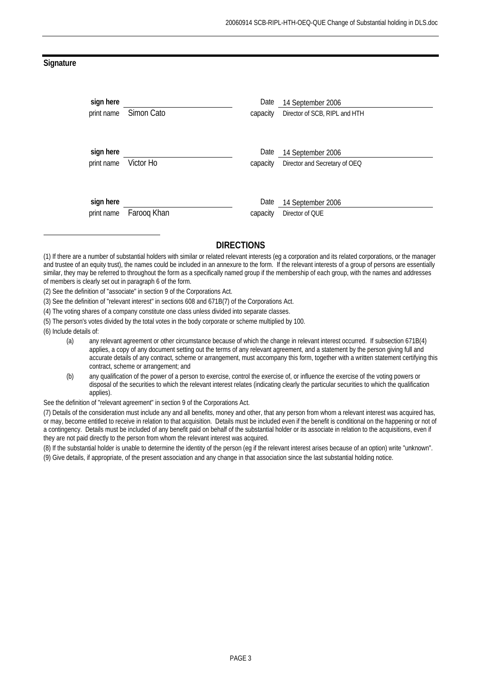#### **Signature**

| sign here  | Simon Cato  | Date     | 14 September 2006             |
|------------|-------------|----------|-------------------------------|
| print name |             | capacity | Director of SCB, RIPL and HTH |
| sign here  | Victor Ho   | Date     | 14 September 2006             |
| print name |             | capacity | Director and Secretary of OEQ |
| sign here  | Faroog Khan | Date     | 14 September 2006             |
| print name |             | capacity | Director of QUE               |

## **DIRECTIONS**

- (3) See the definition of "relevant interest" in sections 608 and 671B(7) of the Corporations Act.
- (4) The voting shares of a company constitute one class unless divided into separate classes.
- (5) The person's votes divided by the total votes in the body corporate or scheme multiplied by 100.

(6) Include details of:

 $\ddot{ }$ 

- (a) any relevant agreement or other circumstance because of which the change in relevant interest occurred. If subsection 671B(4) applies, a copy of any document setting out the terms of any relevant agreement, and a statement by the person giving full and accurate details of any contract, scheme or arrangement, must accompany this form, together with a written statement certifying this contract, scheme or arrangement; and
- (b) any qualification of the power of a person to exercise, control the exercise of, or influence the exercise of the voting powers or disposal of the securities to which the relevant interest relates (indicating clearly the particular securities to which the qualification applies).

See the definition of "relevant agreement" in section 9 of the Corporations Act.

(7) Details of the consideration must include any and all benefits, money and other, that any person from whom a relevant interest was acquired has, or may, become entitled to receive in relation to that acquisition. Details must be included even if the benefit is conditional on the happening or not of a contingency. Details must be included of any benefit paid on behalf of the substantial holder or its associate in relation to the acquisitions, even if they are not paid directly to the person from whom the relevant interest was acquired.

(8) If the substantial holder is unable to determine the identity of the person (eg if the relevant interest arises because of an option) write "unknown". (9) Give details, if appropriate, of the present association and any change in that association since the last substantial holding notice.

<sup>(1)</sup> If there are a number of substantial holders with similar or related relevant interests (eg a corporation and its related corporations, or the manager and trustee of an equity trust), the names could be included in an annexure to the form. If the relevant interests of a group of persons are essentially similar, they may be referred to throughout the form as a specifically named group if the membership of each group, with the names and addresses of members is clearly set out in paragraph 6 of the form.

<sup>(2)</sup> See the definition of "associate" in section 9 of the Corporations Act.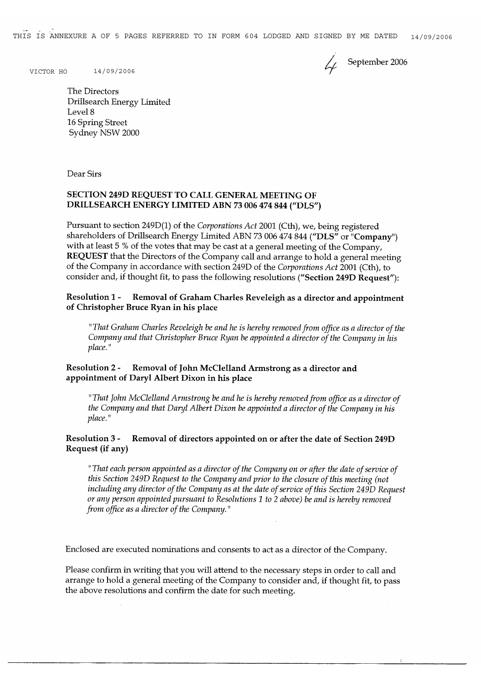THIS IS ANNEXURE A OF 5 PAGES REFERRED TO IN FORM 604 LODGED AND SIGNED BY ME DATED  $14/09/2006$ 

 $\mathcal{L}_{\ell}$  September 2006

VICTOR HO 14/09/2006

The Directors Drillsearch Energy Limited Level 8 16 Spring Street Sydney NSW 2000

Dear Sirs

#### SECTION 249D REQUEST TO CALL GENERAL MEETING OF DRILLSEARCH ENERGY LIMITED ABN 73 006 474 844 ("DLS")

Pursuant to section 249D(1) of the Corporations Act 2001 (Cth), we, being registered shareholders of Drillsearch Energy Limited ABN 73 006 474 844 ("DLS" or "Company") with at least 5 % of the votes that may be cast at a general meeting of the Company, **REQUEST** that the Directors of the Company call and arrange to hold a general meeting of the Company in accordance with section 249D of the Corporations Act 2001 (Cth), to consider and, if thought fit, to pass the following resolutions ("Section 249D Request"):

**Resolution 1 -**Removal of Graham Charles Reveleigh as a director and appointment of Christopher Bruce Ryan in his place

"That Graham Charles Reveleigh be and he is hereby removed from office as a director of the Company and that Christopher Bruce Ryan be appointed a director of the Company in his place."

#### **Resolution 2 -**Removal of John McClelland Armstrong as a director and appointment of Daryl Albert Dixon in his place

"That John McClelland Armstrong be and he is hereby removed from office as a director of the Company and that Daryl Albert Dixon be appointed a director of the Company in his place."

#### **Resolution 3 -**Removal of directors appointed on or after the date of Section 249D Request (if any)

"That each person appointed as a director of the Company on or after the date of service of this Section 249D Request to the Company and prior to the closure of this meeting (not including any director of the Company as at the date of service of this Section 249D Request or any person appointed pursuant to Resolutions 1 to 2 above) be and is hereby removed from office as a director of the Company."

Enclosed are executed nominations and consents to act as a director of the Company.

Please confirm in writing that you will attend to the necessary steps in order to call and arrange to hold a general meeting of the Company to consider and, if thought fit, to pass the above resolutions and confirm the date for such meeting.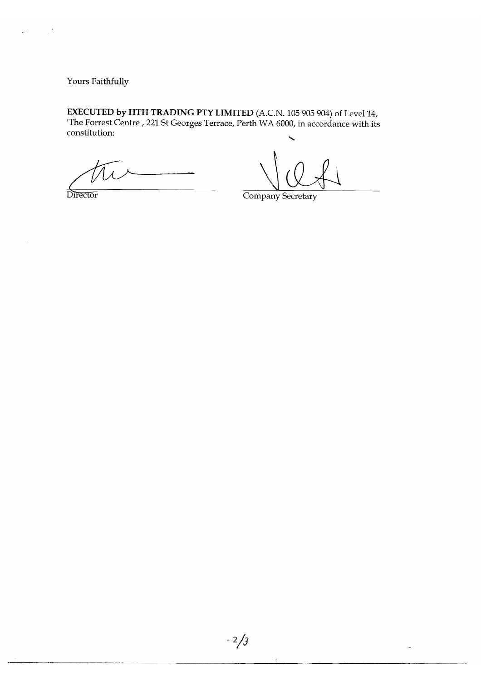Yours Faithfully

 $\varphi(\vec{r}) = \frac{1}{2} \frac{\vec{r}}{2}$ 

**EXECUTED by HTH TRADING PTY LIMITED** (A.C.N. 105 905 904) of Level 14, The Forrest Centre, 221 St Georges Terrace, Perth WA 6000, in accordance with its constitution:

Director

Company Secretary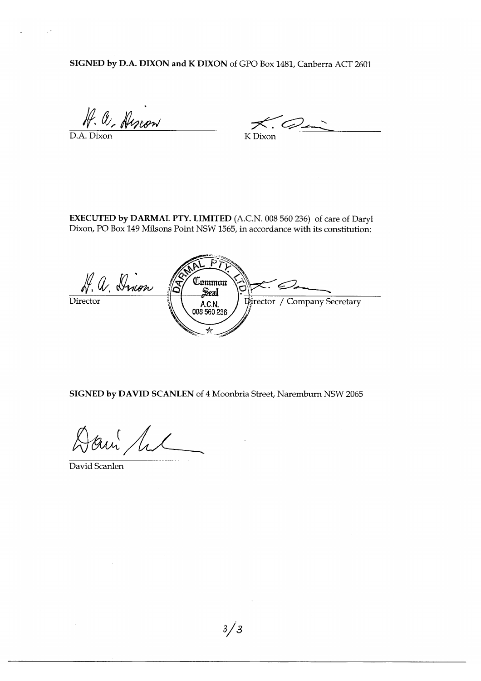SIGNED by D.A. DIXON and K DIXON of GPO Box 1481, Canberra ACT 2601

A. a. Alscon

 $\mathcal{L}$  $\overline{K}$  Dixon

EXECUTED by DARMAL PTY. LIMITED (A.C.N. 008 560 236) of care of Daryl Dixon, PO Box 149 Milsons Point NSW 1565, in accordance with its constitution:

H. a. Dinon Common  $\mathbb{Z}$  $\widehat{c}$ SexI Director / Company Secretary A.C.N. 008 560 236

SIGNED by DAVID SCANLEN of 4 Moonbria Street, Naremburn NSW 2065

am lil

David Scanlen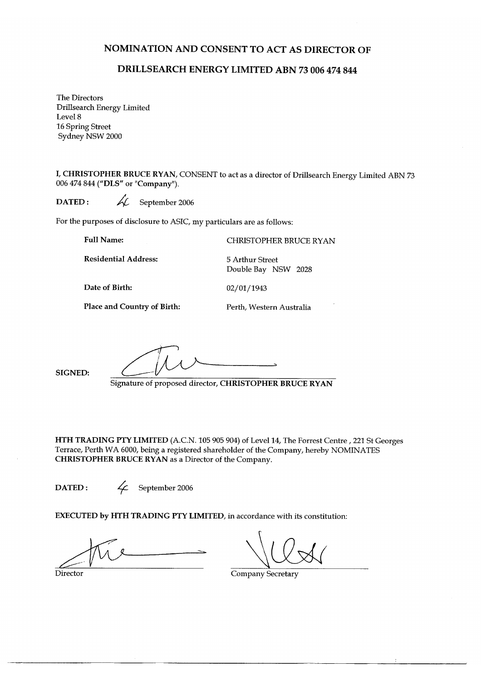### NOMINATION AND CONSENT TO ACT AS DIRECTOR OF

## DRILLSEARCH ENERGY LIMITED ABN 73 006 474 844

The Directors Drillsearch Energy Limited Level 8 16 Spring Street Sydney NSW 2000

I, CHRISTOPHER BRUCE RYAN, CONSENT to act as a director of Drillsearch Energy Limited ABN 73 006 474 844 ("DLS" or "Company").

ki. DATED: September 2006

For the purposes of disclosure to ASIC, my particulars are as follows:

**Full Name:** 

**Residential Address:** 

**CHRISTOPHER BRUCE RYAN** 

Date of Birth:

02/01/1943

5 Arthur Street

**Place and Country of Birth:** 

Perth, Western Australia

Double Bay NSW 2028

SIGNED:

Signature of proposed director, CHRISTOPHER BRUCE RYAN

HTH TRADING PTY LIMITED (A.C.N. 105 905 904) of Level 14, The Forrest Centre, 221 St Georges Terrace, Perth WA 6000, being a registered shareholder of the Company, hereby NOMINATES CHRISTOPHER BRUCE RYAN as a Director of the Company.

DATED:

 $\mathcal{L}^-$ September 2006

EXECUTED by HTH TRADING PTY LIMITED, in accordance with its constitution:

Director

**Company Secretary**